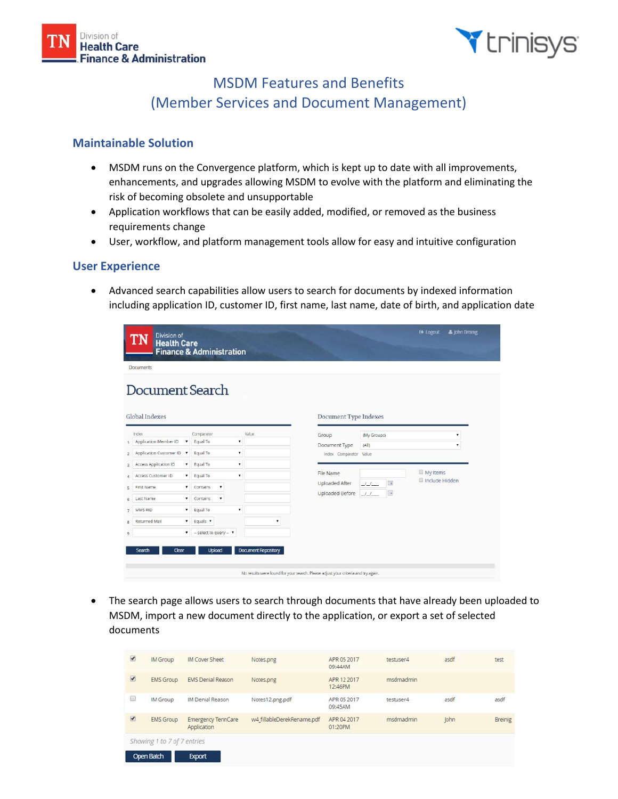



# MSDM Features and Benefits (Member Services and Document Management)

### **Maintainable Solution**

- MSDM runs on the Convergence platform, which is kept up to date with all improvements, enhancements, and upgrades allowing MSDM to evolve with the platform and eliminating the risk of becoming obsolete and unsupportable
- Application workflows that can be easily added, modified, or removed as the business requirements change
- User, workflow, and platform management tools allow for easy and intuitive configuration

#### **User Experience**

• Advanced search capabilities allow users to search for documents by indexed information including application ID, customer ID, first name, last name, date of birth, and application date

| <b>Division of</b><br><b>Health Care</b> | <b>Finance &amp; Administration</b>     |                     |                                                                                   |                                      | & John Breinig<br><b>E</b> Logout |
|------------------------------------------|-----------------------------------------|---------------------|-----------------------------------------------------------------------------------|--------------------------------------|-----------------------------------|
| <b>Documents</b>                         |                                         |                     |                                                                                   |                                      |                                   |
| Document Search                          |                                         |                     |                                                                                   |                                      |                                   |
| Global Indexes                           |                                         |                     | Document Type Indexes                                                             |                                      |                                   |
| Index                                    | Comparator                              | Value               | Group                                                                             | (My Groups)                          | ٠                                 |
| Application Member ID<br>▼<br>1          | Equal To<br>۳                           |                     | Document Type                                                                     | (A  )                                | ۷.                                |
| Application Customer ID .<br>2           | Equal To<br>۷                           |                     | Index Comparator Value                                                            |                                      |                                   |
| Access Application ID<br>3               | $\blacksquare$<br>v Equal To            |                     |                                                                                   |                                      |                                   |
| Access Customer ID<br>۳<br>л             | Equal To<br>$\pmb{\mathrm{v}}$          |                     | File Name                                                                         |                                      | My Items<br>Include Hidden        |
| ,<br>First Name<br>5                     | Contains<br>۰                           |                     | Uploaded After                                                                    | $\overline{\phantom{a}}$<br>$J_{-}/$ |                                   |
| ۷<br>Last Name<br>6                      | Contains<br>۰                           |                     | Uploaded Before                                                                   | 量<br>JJ                              |                                   |
| MMS RID<br>۳<br>$\overline{7}$           | Equal To<br>۰                           |                     |                                                                                   |                                      |                                   |
| Returned Mail<br>$\pmb{\mathrm{v}}$<br>8 | Equals <b>v</b>                         | ۰                   |                                                                                   |                                      |                                   |
| $\overline{9}$                           | $\bullet$ - select to query - $\bullet$ |                     |                                                                                   |                                      |                                   |
| Search<br>Clear                          | <b>Upload</b>                           | Document Repository | No results were found for your search. Please adjust your criteria and try again. |                                      |                                   |

• The search page allows users to search through documents that have already been uploaded to MSDM, import a new document directly to the application, or export a set of selected documents

| $\overline{\mathcal{L}}$ | IM Group         | IM Cover Sheet                           | Notes.png                  | APR 05 2017<br>09:44AM | testuser4 | asdf | test    |
|--------------------------|------------------|------------------------------------------|----------------------------|------------------------|-----------|------|---------|
| $\overline{\mathcal{L}}$ | <b>EMS Group</b> | <b>EMS Denial Reason</b>                 | Notes.png                  | APR 12 2017<br>12:46PM | msdmadmin |      |         |
| ⊜                        | IM Group         | <b>IM Denial Reason</b>                  | Notes12.png.pdf            | APR 05 2017<br>09:45AM | testuser4 | asdf | asdf    |
| $\overline{\mathcal{L}}$ | <b>EMS</b> Group | <b>Emergency TennCare</b><br>Application | w4 fillableDerekRename.pdf | APR 04 2017<br>01:20PM | msdmadmin | John | Breinig |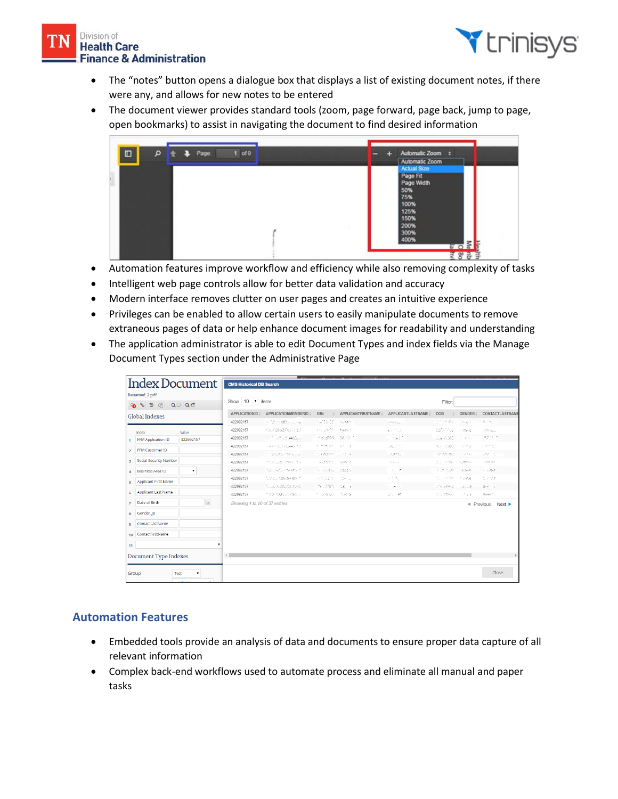#### Division of **Health Care Finance & Administration**



- The "notes" button opens a dialogue box that displays a list of existing document notes, if there were any, and allows for new notes to be entered
- The document viewer provides standard tools (zoom, page forward, page back, jump to page, open bookmarks) to assist in navigating the document to find desired information



- Automation features improve workflow and efficiency while also removing complexity of tasks
- Intelligent web page controls allow for better data validation and accuracy
- Modern interface removes clutter on user pages and creates an intuitive experience
- Privileges can be enabled to allow certain users to easily manipulate documents to remove extraneous pages of data or help enhance document images for readability and understanding
- The application administrator is able to edit Document Types and index fields via the Manage Document Types section under the Administrative Page

|                                | Index Document                |                            | <b>CMS Historical DB Search</b> |                          |                           |                          |                           |               |                                                                |                                                    |
|--------------------------------|-------------------------------|----------------------------|---------------------------------|--------------------------|---------------------------|--------------------------|---------------------------|---------------|----------------------------------------------------------------|----------------------------------------------------|
| Renamed_2.pdf<br>6896<br>QD QC |                               |                            | Show 10 v items                 |                          |                           |                          |                           | Filter:       |                                                                |                                                    |
| Global Indexes                 |                               | <b>APPLICATIONID</b>       | APPLICATIONMEMBERID             | SSN                      | <b>APPLICANTFIRSTNAME</b> | <b>APPLICANTLASTNAME</b> | <b>DOB</b>                | <b>GENDER</b> | CONTACTLASTNAME                                                |                                                    |
|                                |                               |                            | 422992157                       | 3.720 (Nather Long)      | follows:                  | 2,99,09                  | <b>Children</b>           | 02/05/08      | $\langle \langle \langle \alpha \beta \rangle \rangle \rangle$ | 我国記述                                               |
|                                | Index                         | Value                      | 422992157                       | A SUSSIMISSING VIOLEN.   | as costs.                 | Ratti 3                  | $\sqrt{2}$ and $\sqrt{2}$ | estom a       | temate                                                         |                                                    |
|                                | FFM Application ID            | 422992157                  | 422992157                       | TEMPORAL EDANGER         | 380,595                   | 242.55.1                 | 01/09/02                  | 0.027-302     | $\mathcal{A}_\mathrm{c}$ and $\mathbf{q}$                      | 過去分子                                               |
|                                | FFM Customer ID               |                            | 422992157                       | 10.20 (6.4 28 48 40)     | $+ - 12663525$            | 22.00                    | SNATIC                    | 301.05988     | Cente                                                          | 25.532                                             |
| $\overline{2}$                 |                               |                            | 422992157                       | 1.7200267349.000         | 11.4653597                | Contribe.                | 12,9382                   | man geloggi   | 全力地の                                                           | UPS PS                                             |
| $\overline{\mathbf{3}}$        | <b>Social Security Number</b> |                            | 422992157                       | 11012219-03541-101       | <b>STOREMS</b>            | Rzevita                  | Others.                   | 252,5592      | 5,392,554                                                      | Testuer :                                          |
| $\overline{4}$                 | <b>Business Area ID</b>       | $\pmb{\mathrm{v}}$         | 422992157                       | talisazo, escussivo      | 17-14030-01               | plänt is                 | $1 - 7^{\circ}$           | ico en con    | Republic                                                       | 6 estage                                           |
| 5                              | <b>Applicant First Name</b>   |                            | 422992157                       | 127207086694490/7        | NESCON                    | Cota-cu                  | 10000                     | 10010098      | Proteste                                                       | Sizone.                                            |
|                                |                               |                            | 422992157                       | 155.80009.00             | Stationship               | $28 - 5$                 | on Barrist                | CO Heledi     | 2010/03/18                                                     | $\sum_{i=1}^n p_i \mathcal{L}_i = \underline{z}_i$ |
| 6                              | <b>Applicant Last Name</b>    |                            | 422992157                       | <b>FORE SQUEEN ABOVE</b> | 1.448.00                  | Positiv                  | 2010/45                   | 加工財務所         | The sale                                                       | Seem.                                              |
| $\overline{7}$                 | Date of Birth                 | $\overline{\phantom{m}}$   | Showing 1 to 10 of 37 entries   |                          |                           |                          |                           |               |                                                                | 4 Previous<br>Next                                 |
| 8                              | Gender <sub>IB</sub>          |                            |                                 |                          |                           |                          |                           |               |                                                                |                                                    |
| $\mathbf{q}$                   | ContactLastName               |                            |                                 |                          |                           |                          |                           |               |                                                                |                                                    |
| 10                             | ContactFirstName              |                            |                                 |                          |                           |                          |                           |               |                                                                |                                                    |
| 11                             |                               |                            |                                 |                          |                           |                          |                           |               |                                                                |                                                    |
|                                |                               |                            |                                 |                          |                           |                          |                           |               |                                                                |                                                    |
|                                | <b>Document Type Indexes</b>  |                            | $\leftarrow$                    |                          |                           |                          |                           |               |                                                                |                                                    |
|                                |                               |                            |                                 |                          |                           |                          |                           |               |                                                                |                                                    |
|                                | Group                         | $\pmb{\mathrm{v}}$<br>Test |                                 |                          |                           |                          |                           |               |                                                                | Close                                              |

# **Automation Features**

- Embedded tools provide an analysis of data and documents to ensure proper data capture of all relevant information
- Complex back-end workflows used to automate process and eliminate all manual and paper tasks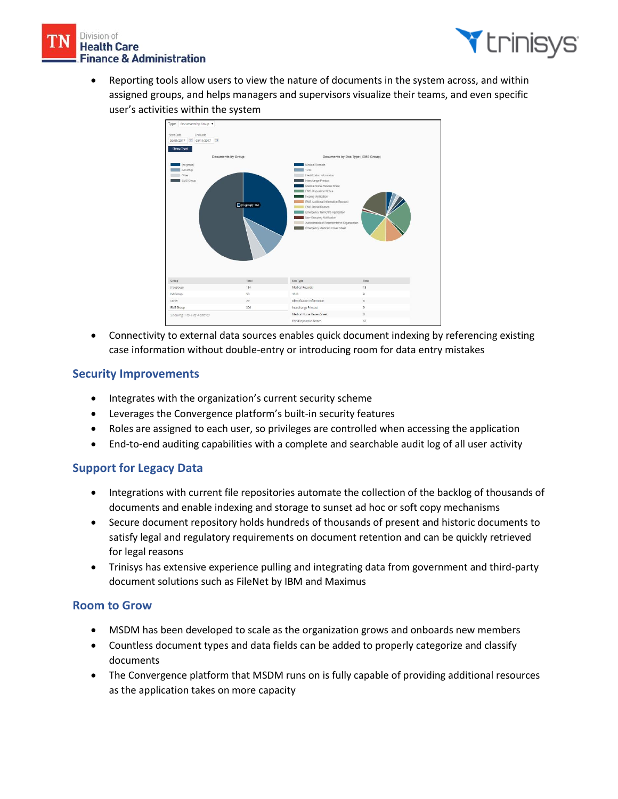



• Reporting tools allow users to view the nature of documents in the system across, and within assigned groups, and helps managers and supervisors visualize their teams, and even specific user's activities within the system



• Connectivity to external data sources enables quick document indexing by referencing existing case information without double-entry or introducing room for data entry mistakes

#### **Security Improvements**

- Integrates with the organization's current security scheme
- Leverages the Convergence platform's built-in security features
- Roles are assigned to each user, so privileges are controlled when accessing the application
- End-to-end auditing capabilities with a complete and searchable audit log of all user activity

# **Support for Legacy Data**

- Integrations with current file repositories automate the collection of the backlog of thousands of documents and enable indexing and storage to sunset ad hoc or soft copy mechanisms
- Secure document repository holds hundreds of thousands of present and historic documents to satisfy legal and regulatory requirements on document retention and can be quickly retrieved for legal reasons
- Trinisys has extensive experience pulling and integrating data from government and third-party document solutions such as FileNet by IBM and Maximus

#### **Room to Grow**

- MSDM has been developed to scale as the organization grows and onboards new members
- Countless document types and data fields can be added to properly categorize and classify documents
- The Convergence platform that MSDM runs on is fully capable of providing additional resources as the application takes on more capacity